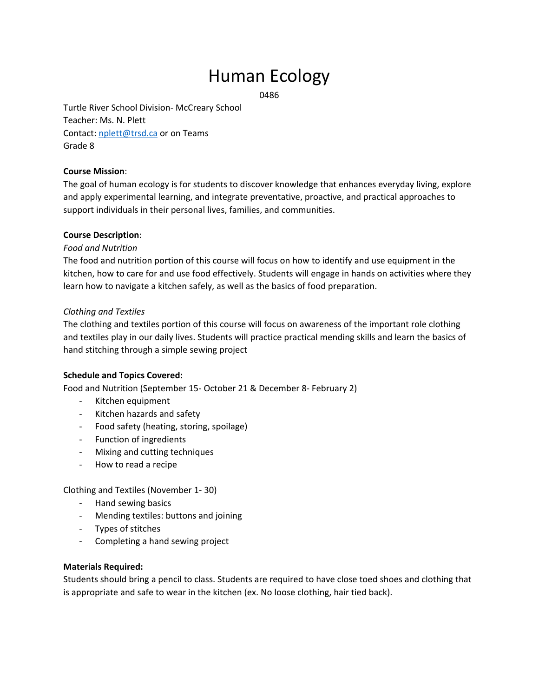# Human Ecology

0486

Turtle River School Division‐ McCreary School Teacher: Ms. N. Plett Contact: nplett@trsd.ca or on Teams Grade 8

#### **Course Mission**:

The goal of human ecology is for students to discover knowledge that enhances everyday living, explore and apply experimental learning, and integrate preventative, proactive, and practical approaches to support individuals in their personal lives, families, and communities.

# **Course Description**:

# *Food and Nutrition*

The food and nutrition portion of this course will focus on how to identify and use equipment in the kitchen, how to care for and use food effectively. Students will engage in hands on activities where they learn how to navigate a kitchen safely, as well as the basics of food preparation.

# *Clothing and Textiles*

The clothing and textiles portion of this course will focus on awareness of the important role clothing and textiles play in our daily lives. Students will practice practical mending skills and learn the basics of hand stitching through a simple sewing project

# **Schedule and Topics Covered:**

Food and Nutrition (September 15‐ October 21 & December 8‐ February 2)

- ‐ Kitchen equipment
- ‐ Kitchen hazards and safety
- ‐ Food safety (heating, storing, spoilage)
- ‐ Function of ingredients
- ‐ Mixing and cutting techniques
- ‐ How to read a recipe

Clothing and Textiles (November 1‐ 30)

- ‐ Hand sewing basics
- ‐ Mending textiles: buttons and joining
- ‐ Types of stitches
- ‐ Completing a hand sewing project

#### **Materials Required:**

Students should bring a pencil to class. Students are required to have close toed shoes and clothing that is appropriate and safe to wear in the kitchen (ex. No loose clothing, hair tied back).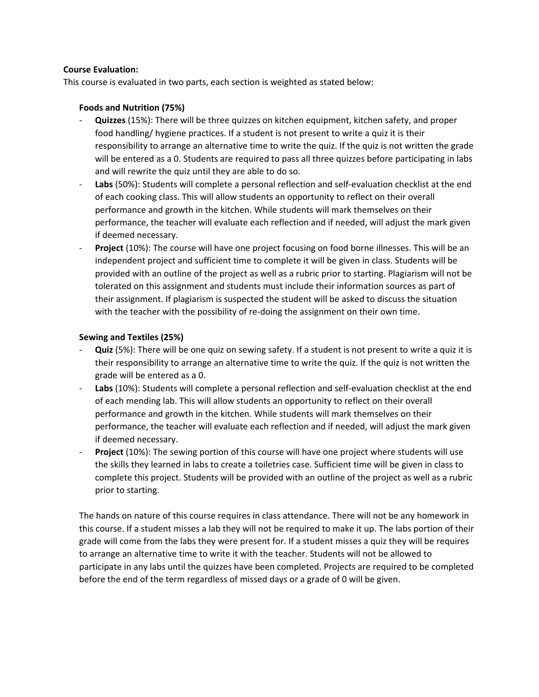#### **Course Evaluation:**

This course is evaluated in two parts, each section is weighted as stated below:

#### **Foods and Nutrition (75%)**

- ‐ **Quizzes** (15%): There will be three quizzes on kitchen equipment, kitchen safety, and proper food handling/ hygiene practices. If a student is not present to write a quiz it is their responsibility to arrange an alternative time to write the quiz. If the quiz is not written the grade will be entered as a 0. Students are required to pass all three quizzes before participating in labs and will rewrite the quiz until they are able to do so.
- Labs (50%): Students will complete a personal reflection and self-evaluation checklist at the end of each cooking class. This will allow students an opportunity to reflect on their overall performance and growth in the kitchen. While students will mark themselves on their performance, the teacher will evaluate each reflection and if needed, will adjust the mark given if deemed necessary.
- ‐ **Project** (10%): The course will have one project focusing on food borne illnesses. This will be an independent project and sufficient time to complete it will be given in class. Students will be provided with an outline of the project as well as a rubric prior to starting. Plagiarism will not be tolerated on this assignment and students must include their information sources as part of their assignment. If plagiarism is suspected the student will be asked to discuss the situation with the teacher with the possibility of re-doing the assignment on their own time.

#### **Sewing and Textiles (25%)**

- ‐ **Quiz** (5%): There will be one quiz on sewing safety. If a student is not present to write a quiz it is their responsibility to arrange an alternative time to write the quiz. If the quiz is not written the grade will be entered as a 0.
- Labs (10%): Students will complete a personal reflection and self-evaluation checklist at the end of each mending lab. This will allow students an opportunity to reflect on their overall performance and growth in the kitchen. While students will mark themselves on their performance, the teacher will evaluate each reflection and if needed, will adjust the mark given if deemed necessary.
- ‐ **Project** (10%): The sewing portion of this course will have one project where students will use the skills they learned in labs to create a toiletries case. Sufficient time will be given in class to complete this project. Students will be provided with an outline of the project as well as a rubric prior to starting.

The hands on nature of this course requires in class attendance. There will not be any homework in this course. If a student misses a lab they will not be required to make it up. The labs portion of their grade will come from the labs they were present for. If a student misses a quiz they will be requires to arrange an alternative time to write it with the teacher. Students will not be allowed to participate in any labs until the quizzes have been completed. Projects are required to be completed before the end of the term regardless of missed days or a grade of 0 will be given.